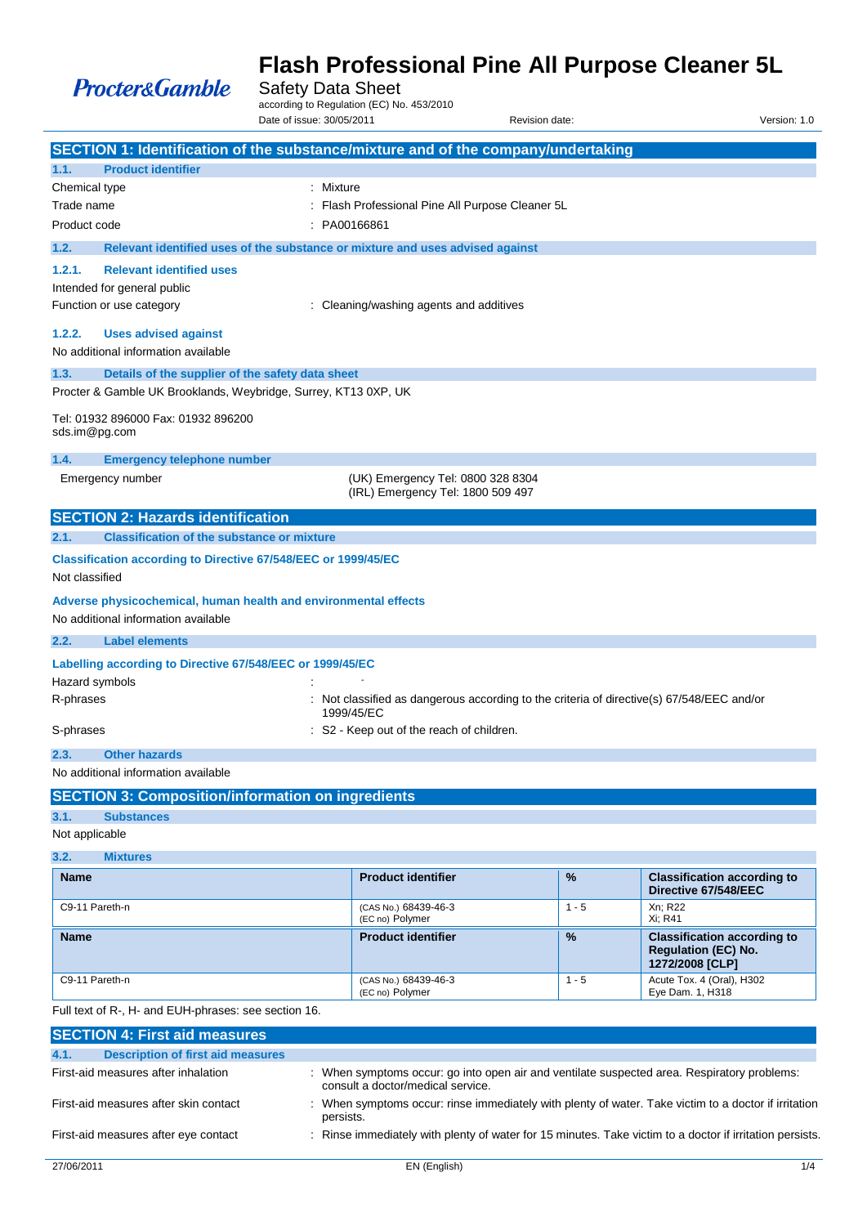

Safety Data Sheet

| uuu uummu                                                                                              |                                                                       | $50.01$ , $50.000$<br>according to Regulation (EC) No. 453/2010               |                                                                                         |              |
|--------------------------------------------------------------------------------------------------------|-----------------------------------------------------------------------|-------------------------------------------------------------------------------|-----------------------------------------------------------------------------------------|--------------|
|                                                                                                        |                                                                       | Date of issue: 30/05/2011                                                     | Revision date:                                                                          | Version: 1.0 |
|                                                                                                        |                                                                       |                                                                               | SECTION 1: Identification of the substance/mixture and of the company/undertaking       |              |
| 1.1.                                                                                                   | <b>Product identifier</b>                                             |                                                                               |                                                                                         |              |
| Chemical type                                                                                          |                                                                       | Mixture                                                                       |                                                                                         |              |
| Trade name                                                                                             |                                                                       |                                                                               | Flash Professional Pine All Purpose Cleaner 5L                                          |              |
| Product code                                                                                           |                                                                       | PA00166861                                                                    |                                                                                         |              |
| 1.2.                                                                                                   |                                                                       | Relevant identified uses of the substance or mixture and uses advised against |                                                                                         |              |
| 1.2.1.<br><b>Relevant identified uses</b>                                                              |                                                                       |                                                                               |                                                                                         |              |
|                                                                                                        | Intended for general public                                           |                                                                               |                                                                                         |              |
|                                                                                                        | Function or use category                                              | Cleaning/washing agents and additives                                         |                                                                                         |              |
| 1.2.2.                                                                                                 | <b>Uses advised against</b>                                           |                                                                               |                                                                                         |              |
|                                                                                                        | No additional information available                                   |                                                                               |                                                                                         |              |
| 1.3.                                                                                                   | Details of the supplier of the safety data sheet                      |                                                                               |                                                                                         |              |
|                                                                                                        |                                                                       | Procter & Gamble UK Brooklands, Weybridge, Surrey, KT13 0XP, UK               |                                                                                         |              |
|                                                                                                        | Tel: 01932 896000 Fax: 01932 896200<br>sds.im@pg.com                  |                                                                               |                                                                                         |              |
| 1.4.                                                                                                   | <b>Emergency telephone number</b>                                     |                                                                               |                                                                                         |              |
|                                                                                                        | Emergency number                                                      |                                                                               | (UK) Emergency Tel: 0800 328 8304<br>(IRL) Emergency Tel: 1800 509 497                  |              |
|                                                                                                        | <b>SECTION 2: Hazards identification</b>                              |                                                                               |                                                                                         |              |
| 2.1.                                                                                                   | <b>Classification of the substance or mixture</b>                     |                                                                               |                                                                                         |              |
| Not classified                                                                                         | <b>Classification according to Directive 67/548/EEC or 1999/45/EC</b> |                                                                               |                                                                                         |              |
| Adverse physicochemical, human health and environmental effects<br>No additional information available |                                                                       |                                                                               |                                                                                         |              |
| 2.2.                                                                                                   | <b>Label elements</b>                                                 |                                                                               |                                                                                         |              |
|                                                                                                        | Labelling according to Directive 67/548/EEC or 1999/45/EC             |                                                                               |                                                                                         |              |
| Hazard symbols                                                                                         |                                                                       |                                                                               |                                                                                         |              |
| R-phrases                                                                                              |                                                                       | 1999/45/EC                                                                    | Not classified as dangerous according to the criteria of directive(s) 67/548/EEC and/or |              |
| S-phrases                                                                                              |                                                                       | : S2 - Keep out of the reach of children.                                     |                                                                                         |              |

**2.3. Other hazards**

No additional information available

|                | <b>SECTION 3: Composition/information on ingredients</b> |
|----------------|----------------------------------------------------------|
| 3.1.           | <b>Substances</b>                                        |
| Not annlicable |                                                          |

#### Not applicable

| 3.2.<br><b>Mixtures</b> |                                         |               |                                                                                     |
|-------------------------|-----------------------------------------|---------------|-------------------------------------------------------------------------------------|
| <b>Name</b>             | <b>Product identifier</b>               | $\frac{9}{6}$ | <b>Classification according to</b><br>Directive 67/548/EEC                          |
| C9-11 Pareth-n          | (CAS No.) 68439-46-3<br>(EC no) Polymer | $1 - 5$       | Xn: R22<br>Xi: R41                                                                  |
| <b>Name</b>             | <b>Product identifier</b>               | $\frac{9}{6}$ | <b>Classification according to</b><br><b>Regulation (EC) No.</b><br>1272/2008 [CLP] |
| C9-11 Pareth-n          | (CAS No.) 68439-46-3<br>(EC no) Polymer | $1 - 5$       | Acute Tox. 4 (Oral), H302<br>Eye Dam. 1, H318                                       |

Full text of R-, H- and EUH-phrases: see section 16.

| <b>SECTION 4: First aid measures</b>             |                                                                                                                                  |  |  |
|--------------------------------------------------|----------------------------------------------------------------------------------------------------------------------------------|--|--|
| <b>Description of first aid measures</b><br>4.1. |                                                                                                                                  |  |  |
| First-aid measures after inhalation              | : When symptoms occur: go into open air and ventilate suspected area. Respiratory problems:<br>consult a doctor/medical service. |  |  |
| First-aid measures after skin contact            | : When symptoms occur: rinse immediately with plenty of water. Take victim to a doctor if irritation<br>persists.                |  |  |
| First-aid measures after eye contact             | : Rinse immediately with plenty of water for 15 minutes. Take victim to a doctor if irritation persists.                         |  |  |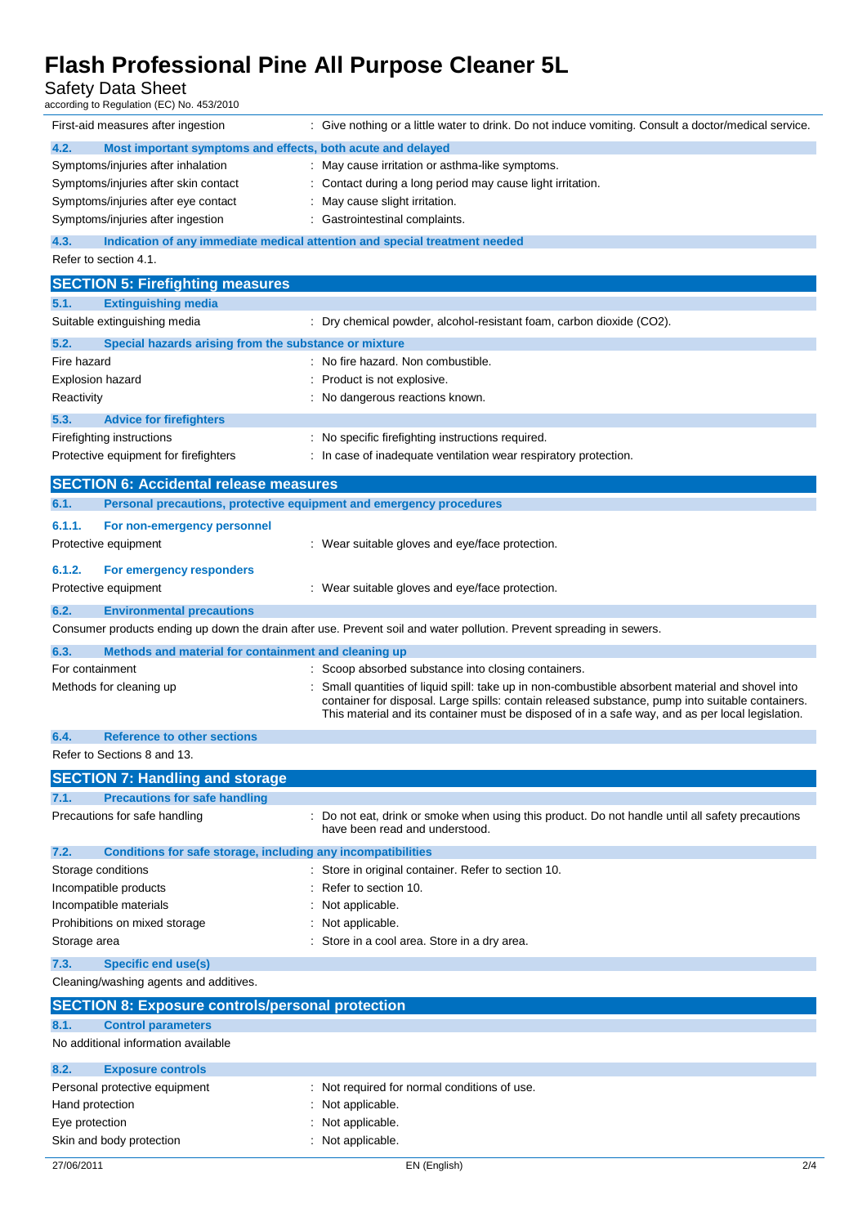### Safety Data Sheet

| urory Duru Orioor<br>according to Regulation (EC) No. 453/2010                        |                                                                                                                                                                                                                                                                                                         |  |  |
|---------------------------------------------------------------------------------------|---------------------------------------------------------------------------------------------------------------------------------------------------------------------------------------------------------------------------------------------------------------------------------------------------------|--|--|
| First-aid measures after ingestion                                                    | : Give nothing or a little water to drink. Do not induce vomiting. Consult a doctor/medical service.                                                                                                                                                                                                    |  |  |
| 4.2.<br>Most important symptoms and effects, both acute and delayed                   |                                                                                                                                                                                                                                                                                                         |  |  |
| Symptoms/injuries after inhalation<br>: May cause irritation or asthma-like symptoms. |                                                                                                                                                                                                                                                                                                         |  |  |
| Symptoms/injuries after skin contact                                                  | : Contact during a long period may cause light irritation.                                                                                                                                                                                                                                              |  |  |
| Symptoms/injuries after eye contact                                                   | May cause slight irritation.                                                                                                                                                                                                                                                                            |  |  |
| Symptoms/injuries after ingestion                                                     | : Gastrointestinal complaints.                                                                                                                                                                                                                                                                          |  |  |
| 4.3.                                                                                  | Indication of any immediate medical attention and special treatment needed                                                                                                                                                                                                                              |  |  |
| Refer to section 4.1.                                                                 |                                                                                                                                                                                                                                                                                                         |  |  |
| <b>SECTION 5: Firefighting measures</b>                                               |                                                                                                                                                                                                                                                                                                         |  |  |
| 5.1.<br><b>Extinguishing media</b>                                                    |                                                                                                                                                                                                                                                                                                         |  |  |
| Suitable extinguishing media                                                          | : Dry chemical powder, alcohol-resistant foam, carbon dioxide (CO2).                                                                                                                                                                                                                                    |  |  |
| 5.2.<br>Special hazards arising from the substance or mixture                         |                                                                                                                                                                                                                                                                                                         |  |  |
| Fire hazard                                                                           | No fire hazard. Non combustible.                                                                                                                                                                                                                                                                        |  |  |
| Explosion hazard                                                                      | Product is not explosive.                                                                                                                                                                                                                                                                               |  |  |
| Reactivity                                                                            | : No dangerous reactions known.                                                                                                                                                                                                                                                                         |  |  |
| 5.3.<br><b>Advice for firefighters</b>                                                |                                                                                                                                                                                                                                                                                                         |  |  |
| Firefighting instructions                                                             | : No specific firefighting instructions required.                                                                                                                                                                                                                                                       |  |  |
| Protective equipment for firefighters                                                 | : In case of inadequate ventilation wear respiratory protection.                                                                                                                                                                                                                                        |  |  |
| <b>SECTION 6: Accidental release measures</b>                                         |                                                                                                                                                                                                                                                                                                         |  |  |
| 6.1.                                                                                  | Personal precautions, protective equipment and emergency procedures                                                                                                                                                                                                                                     |  |  |
| 6.1.1.<br>For non-emergency personnel                                                 |                                                                                                                                                                                                                                                                                                         |  |  |
| Protective equipment                                                                  | : Wear suitable gloves and eye/face protection.                                                                                                                                                                                                                                                         |  |  |
| 6.1.2.<br>For emergency responders                                                    |                                                                                                                                                                                                                                                                                                         |  |  |
| Protective equipment                                                                  | : Wear suitable gloves and eye/face protection.                                                                                                                                                                                                                                                         |  |  |
| 6.2.<br><b>Environmental precautions</b>                                              |                                                                                                                                                                                                                                                                                                         |  |  |
|                                                                                       | Consumer products ending up down the drain after use. Prevent soil and water pollution. Prevent spreading in sewers.                                                                                                                                                                                    |  |  |
| 6.3.<br>Methods and material for containment and cleaning up                          |                                                                                                                                                                                                                                                                                                         |  |  |
| For containment                                                                       | : Scoop absorbed substance into closing containers.                                                                                                                                                                                                                                                     |  |  |
| Methods for cleaning up                                                               | Small quantities of liquid spill: take up in non-combustible absorbent material and shovel into<br>container for disposal. Large spills: contain released substance, pump into suitable containers.<br>This material and its container must be disposed of in a safe way, and as per local legislation. |  |  |
| 6.4.<br><b>Reference to other sections</b>                                            |                                                                                                                                                                                                                                                                                                         |  |  |
| Refer to Sections 8 and 13.                                                           |                                                                                                                                                                                                                                                                                                         |  |  |
| <b>SECTION 7: Handling and storage</b>                                                |                                                                                                                                                                                                                                                                                                         |  |  |
| <b>Precautions for safe handling</b><br>7.1.<br>Precautions for safe handling         |                                                                                                                                                                                                                                                                                                         |  |  |
|                                                                                       | : Do not eat, drink or smoke when using this product. Do not handle until all safety precautions<br>have been read and understood.                                                                                                                                                                      |  |  |
| 7.2.<br><b>Conditions for safe storage, including any incompatibilities</b>           |                                                                                                                                                                                                                                                                                                         |  |  |
| Storage conditions                                                                    | : Store in original container. Refer to section 10.                                                                                                                                                                                                                                                     |  |  |
| Incompatible products                                                                 | Refer to section 10.                                                                                                                                                                                                                                                                                    |  |  |
| Incompatible materials                                                                | Not applicable.                                                                                                                                                                                                                                                                                         |  |  |
| Prohibitions on mixed storage<br>Storage area                                         | Not applicable.<br>: Store in a cool area. Store in a dry area.                                                                                                                                                                                                                                         |  |  |
|                                                                                       |                                                                                                                                                                                                                                                                                                         |  |  |
| 7.3.<br><b>Specific end use(s)</b><br>Cleaning/washing agents and additives.          |                                                                                                                                                                                                                                                                                                         |  |  |
|                                                                                       |                                                                                                                                                                                                                                                                                                         |  |  |
| <b>SECTION 8: Exposure controls/personal protection</b>                               |                                                                                                                                                                                                                                                                                                         |  |  |
| 8.1.<br><b>Control parameters</b><br>No additional information available              |                                                                                                                                                                                                                                                                                                         |  |  |
|                                                                                       |                                                                                                                                                                                                                                                                                                         |  |  |
| 8.2.<br><b>Exposure controls</b>                                                      |                                                                                                                                                                                                                                                                                                         |  |  |
| Personal protective equipment                                                         | Not required for normal conditions of use.                                                                                                                                                                                                                                                              |  |  |
| Hand protection                                                                       | Not applicable.                                                                                                                                                                                                                                                                                         |  |  |
| Eye protection                                                                        | Not applicable.                                                                                                                                                                                                                                                                                         |  |  |
| Skin and body protection                                                              | : Not applicable.                                                                                                                                                                                                                                                                                       |  |  |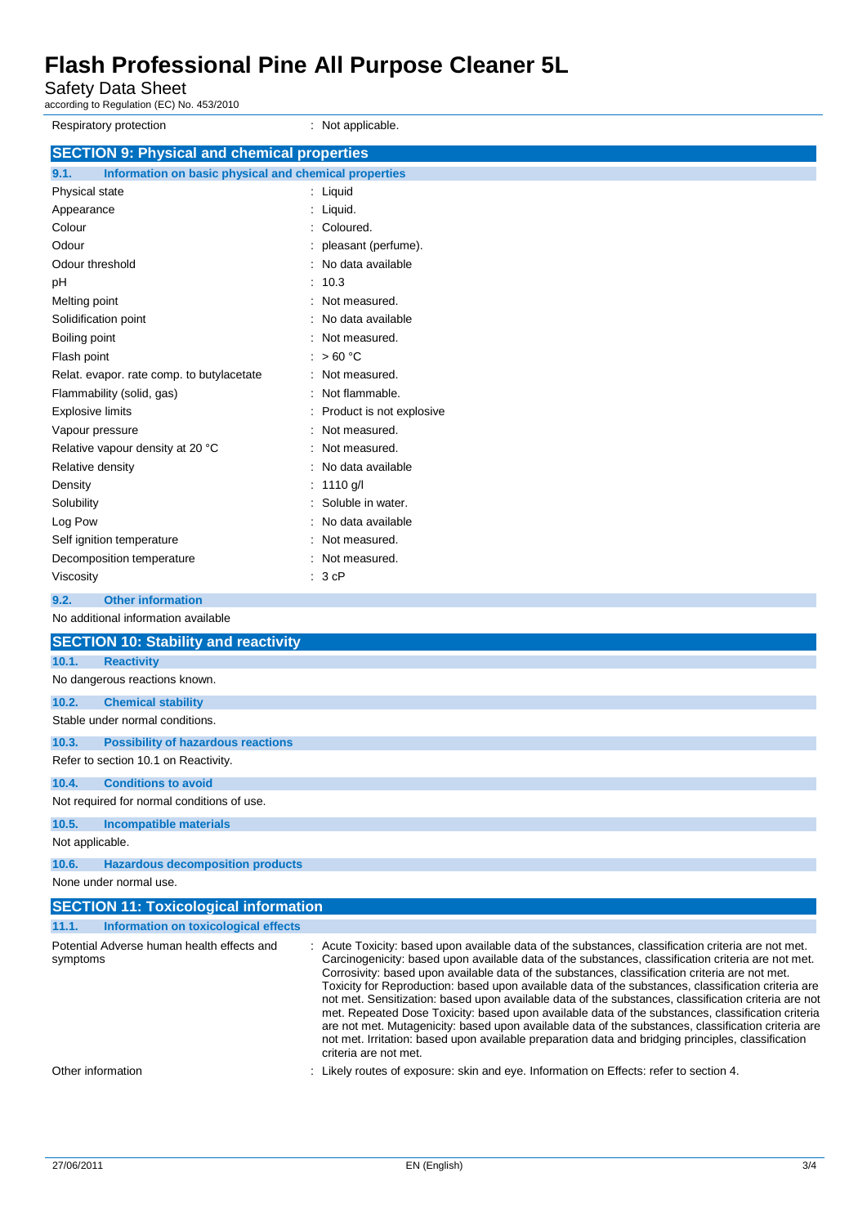Safety Data Sheet

according to Regulation (EC) No. 453/2010

| Respiratory protection                                        | : Not applicable.        |  |  |
|---------------------------------------------------------------|--------------------------|--|--|
| <b>SECTION 9: Physical and chemical properties</b>            |                          |  |  |
| Information on basic physical and chemical properties<br>9.1. |                          |  |  |
| Physical state                                                | : Liquid                 |  |  |
| Appearance                                                    | : Liquid.                |  |  |
| Colour                                                        | Coloured.                |  |  |
| Odour                                                         | pleasant (perfume).      |  |  |
| Odour threshold                                               | No data available        |  |  |
| pH                                                            | 10.3                     |  |  |
| Melting point                                                 | Not measured.            |  |  |
| Solidification point                                          | No data available        |  |  |
| Boiling point                                                 | Not measured.            |  |  |
| Flash point                                                   | >60 °C                   |  |  |
| Relat. evapor. rate comp. to butylacetate                     | Not measured.            |  |  |
| Flammability (solid, gas)                                     | Not flammable.           |  |  |
| <b>Explosive limits</b>                                       | Product is not explosive |  |  |
| Vapour pressure                                               | Not measured.            |  |  |
| Relative vapour density at 20 °C                              | Not measured.            |  |  |
| Relative density                                              | No data available        |  |  |
| Density                                                       | 1110 g/l<br>÷            |  |  |
| Solubility                                                    | Soluble in water.        |  |  |
| Log Pow                                                       | No data available        |  |  |
| Self ignition temperature                                     | Not measured.            |  |  |
| Decomposition temperature                                     | Not measured.            |  |  |
| Viscosity                                                     | : 3cP                    |  |  |
| <b>Other information</b><br>9.2.                              |                          |  |  |
| No additional information available                           |                          |  |  |
| <b>SECTION 10: Stability and reactivity</b>                   |                          |  |  |
| 10.1.<br><b>Reactivity</b>                                    |                          |  |  |
| No dangerous reactions known.                                 |                          |  |  |
| 10.2.<br><b>Chemical stability</b>                            |                          |  |  |
| Stable under normal conditions.                               |                          |  |  |
| 10.3.<br><b>Possibility of hazardous reactions</b>            |                          |  |  |

Refer to section 10.1 on Reactivity. **10.4. Conditions to avoid**

Not required for normal conditions of use.

**10.5. Incompatible materials**

Not applicable.

**10.6. Hazardous decomposition products**

None under normal use.

| <b>SECTION 11: Toxicological information</b>           |                                                                                                                                                                                                                                                                                                                                                                                                                                                                                                                                                                                                                                                                                                                                                                                                                                                                       |  |  |
|--------------------------------------------------------|-----------------------------------------------------------------------------------------------------------------------------------------------------------------------------------------------------------------------------------------------------------------------------------------------------------------------------------------------------------------------------------------------------------------------------------------------------------------------------------------------------------------------------------------------------------------------------------------------------------------------------------------------------------------------------------------------------------------------------------------------------------------------------------------------------------------------------------------------------------------------|--|--|
| Information on toxicological effects<br>11.1.          |                                                                                                                                                                                                                                                                                                                                                                                                                                                                                                                                                                                                                                                                                                                                                                                                                                                                       |  |  |
| Potential Adverse human health effects and<br>symptoms | : Acute Toxicity: based upon available data of the substances, classification criteria are not met.<br>Carcinogenicity: based upon available data of the substances, classification criteria are not met.<br>Corrosivity: based upon available data of the substances, classification criteria are not met.<br>Toxicity for Reproduction: based upon available data of the substances, classification criteria are<br>not met. Sensitization: based upon available data of the substances, classification criteria are not<br>met. Repeated Dose Toxicity: based upon available data of the substances, classification criteria<br>are not met. Mutagenicity: based upon available data of the substances, classification criteria are<br>not met. Irritation: based upon available preparation data and bridging principles, classification<br>criteria are not met. |  |  |
| Other information                                      | Likely routes of exposure: skin and eye. Information on Effects: refer to section 4.<br>$\bullet$                                                                                                                                                                                                                                                                                                                                                                                                                                                                                                                                                                                                                                                                                                                                                                     |  |  |